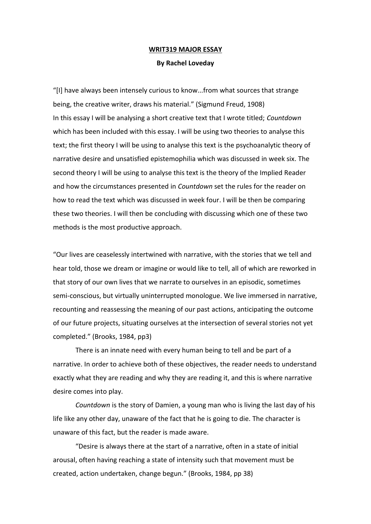## **WRIT319 MAJOR ESSAY**

## **By Rachel Loveday**

"[I] have always been intensely curious to know...from what sources that strange being, the creative writer, draws his material." (Sigmund Freud, 1908) In this essay I will be analysing a short creative text that I wrote titled; *Countdown*  which has been included with this essay. I will be using two theories to analyse this text; the first theory I will be using to analyse this text is the psychoanalytic theory of narrative desire and unsatisfied epistemophilia which was discussed in week six. The second theory I will be using to analyse this text is the theory of the Implied Reader and how the circumstances presented in *Countdown* set the rules for the reader on how to read the text which was discussed in week four. I will be then be comparing these two theories. I will then be concluding with discussing which one of these two methods is the most productive approach.

"Our lives are ceaselessly intertwined with narrative, with the stories that we tell and hear told, those we dream or imagine or would like to tell, all of which are reworked in that story of our own lives that we narrate to ourselves in an episodic, sometimes semi-conscious, but virtually uninterrupted monologue. We live immersed in narrative, recounting and reassessing the meaning of our past actions, anticipating the outcome of our future projects, situating ourselves at the intersection of several stories not yet completed." (Brooks, 1984, pp3)

There is an innate need with every human being to tell and be part of a narrative. In order to achieve both of these objectives, the reader needs to understand exactly what they are reading and why they are reading it, and this is where narrative desire comes into play.

*Countdown* is the story of Damien, a young man who is living the last day of his life like any other day, unaware of the fact that he is going to die. The character is unaware of this fact, but the reader is made aware.

"Desire is always there at the start of a narrative, often in a state of initial arousal, often having reaching a state of intensity such that movement must be created, action undertaken, change begun." (Brooks, 1984, pp 38)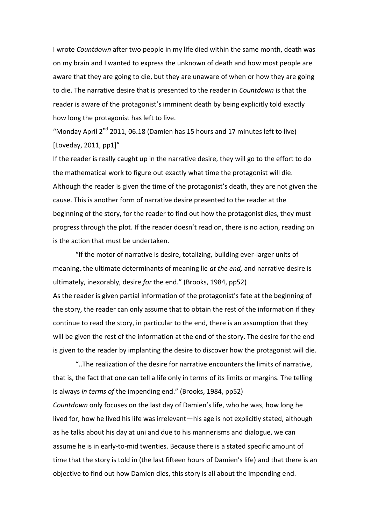I wrote *Countdown* after two people in my life died within the same month, death was on my brain and I wanted to express the unknown of death and how most people are aware that they are going to die, but they are unaware of when or how they are going to die. The narrative desire that is presented to the reader in *Countdown* is that the reader is aware of the protagonist's imminent death by being explicitly told exactly how long the protagonist has left to live.

"Monday April  $2^{nd}$  2011, 06.18 (Damien has 15 hours and 17 minutes left to live) [Loveday, 2011, pp1]"

If the reader is really caught up in the narrative desire, they will go to the effort to do the mathematical work to figure out exactly what time the protagonist will die. Although the reader is given the time of the protagonist's death, they are not given the cause. This is another form of narrative desire presented to the reader at the beginning of the story, for the reader to find out how the protagonist dies, they must progress through the plot. If the reader doesn't read on, there is no action, reading on is the action that must be undertaken.

"If the motor of narrative is desire, totalizing, building ever-larger units of meaning, the ultimate determinants of meaning lie *at the end,* and narrative desire is ultimately, inexorably, desire *for* the end." (Brooks, 1984, pp52) As the reader is given partial information of the protagonist's fate at the beginning of the story, the reader can only assume that to obtain the rest of the information if they continue to read the story, in particular to the end, there is an assumption that they will be given the rest of the information at the end of the story. The desire for the end is given to the reader by implanting the desire to discover how the protagonist will die.

"..The realization of the desire for narrative encounters the limits of narrative, that is, the fact that one can tell a life only in terms of its limits or margins. The telling is always *in terms of* the impending end." (Brooks, 1984, pp52) *Countdown* only focuses on the last day of Damien's life, who he was, how long he lived for, how he lived his life was irrelevant—his age is not explicitly stated, although as he talks about his day at uni and due to his mannerisms and dialogue, we can assume he is in early-to-mid twenties. Because there is a stated specific amount of time that the story is told in (the last fifteen hours of Damien's life) and that there is an objective to find out how Damien dies, this story is all about the impending end.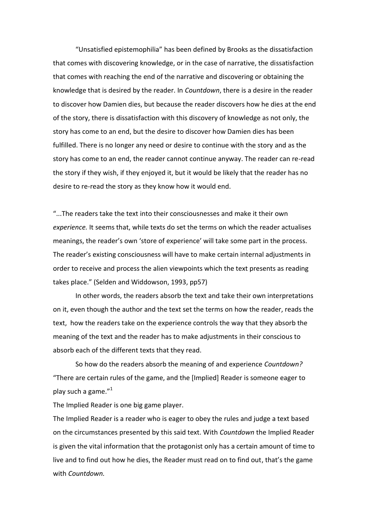"Unsatisfied epistemophilia" has been defined by Brooks as the dissatisfaction that comes with discovering knowledge, or in the case of narrative, the dissatisfaction that comes with reaching the end of the narrative and discovering or obtaining the knowledge that is desired by the reader. In *Countdown*, there is a desire in the reader to discover how Damien dies, but because the reader discovers how he dies at the end of the story, there is dissatisfaction with this discovery of knowledge as not only, the story has come to an end, but the desire to discover how Damien dies has been fulfilled. There is no longer any need or desire to continue with the story and as the story has come to an end, the reader cannot continue anyway. The reader can re-read the story if they wish, if they enjoyed it, but it would be likely that the reader has no desire to re-read the story as they know how it would end.

"...The readers take the text into their consciousnesses and make it their own *experience.* It seems that, while texts do set the terms on which the reader actualises meanings, the reader's own 'store of experience' will take some part in the process. The reader's existing consciousness will have to make certain internal adjustments in order to receive and process the alien viewpoints which the text presents as reading takes place." (Selden and Widdowson, 1993, pp57)

In other words, the readers absorb the text and take their own interpretations on it, even though the author and the text set the terms on how the reader, reads the text, how the readers take on the experience controls the way that they absorb the meaning of the text and the reader has to make adjustments in their conscious to absorb each of the different texts that they read.

So how do the readers absorb the meaning of and experience *Countdown?*  "There are certain rules of the game, and the [Implied] Reader is someone eager to play such a game."<sup>1</sup>

The Implied Reader is one big game player.

The Implied Reader is a reader who is eager to obey the rules and judge a text based on the circumstances presented by this said text. With *Countdown* the Implied Reader is given the vital information that the protagonist only has a certain amount of time to live and to find out how he dies, the Reader must read on to find out, that's the game with *Countdown.*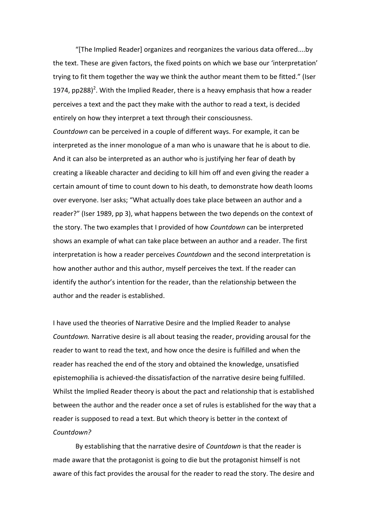"[The Implied Reader] organizes and reorganizes the various data offered....by the text. These are given factors, the fixed points on which we base our 'interpretation' trying to fit them together the way we think the author meant them to be fitted." (Iser 1974, pp288)<sup>2</sup>. With the Implied Reader, there is a heavy emphasis that how a reader perceives a text and the pact they make with the author to read a text, is decided entirely on how they interpret a text through their consciousness.

*Countdown* can be perceived in a couple of different ways. For example, it can be interpreted as the inner monologue of a man who is unaware that he is about to die. And it can also be interpreted as an author who is justifying her fear of death by creating a likeable character and deciding to kill him off and even giving the reader a certain amount of time to count down to his death, to demonstrate how death looms over everyone. Iser asks; "What actually does take place between an author and a reader?" (Iser 1989, pp 3), what happens between the two depends on the context of the story. The two examples that I provided of how *Countdown* can be interpreted shows an example of what can take place between an author and a reader. The first interpretation is how a reader perceives *Countdown* and the second interpretation is how another author and this author, myself perceives the text. If the reader can identify the author's intention for the reader, than the relationship between the author and the reader is established.

I have used the theories of Narrative Desire and the Implied Reader to analyse *Countdown.* Narrative desire is all about teasing the reader, providing arousal for the reader to want to read the text, and how once the desire is fulfilled and when the reader has reached the end of the story and obtained the knowledge, unsatisfied epistemophilia is achieved-the dissatisfaction of the narrative desire being fulfilled. Whilst the Implied Reader theory is about the pact and relationship that is established between the author and the reader once a set of rules is established for the way that a reader is supposed to read a text. But which theory is better in the context of *Countdown?*

By establishing that the narrative desire of *Countdown* is that the reader is made aware that the protagonist is going to die but the protagonist himself is not aware of this fact provides the arousal for the reader to read the story. The desire and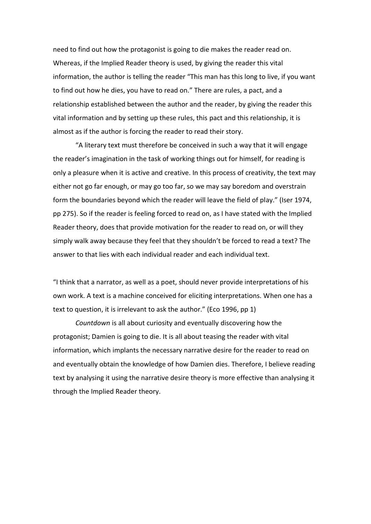need to find out how the protagonist is going to die makes the reader read on. Whereas, if the Implied Reader theory is used, by giving the reader this vital information, the author is telling the reader "This man has this long to live, if you want to find out how he dies, you have to read on." There are rules, a pact, and a relationship established between the author and the reader, by giving the reader this vital information and by setting up these rules, this pact and this relationship, it is almost as if the author is forcing the reader to read their story.

"A literary text must therefore be conceived in such a way that it will engage the reader's imagination in the task of working things out for himself, for reading is only a pleasure when it is active and creative. In this process of creativity, the text may either not go far enough, or may go too far, so we may say boredom and overstrain form the boundaries beyond which the reader will leave the field of play." (Iser 1974, pp 275). So if the reader is feeling forced to read on, as I have stated with the Implied Reader theory, does that provide motivation for the reader to read on, or will they simply walk away because they feel that they shouldn't be forced to read a text? The answer to that lies with each individual reader and each individual text.

"I think that a narrator, as well as a poet, should never provide interpretations of his own work. A text is a machine conceived for eliciting interpretations. When one has a text to question, it is irrelevant to ask the author." (Eco 1996, pp 1)

*Countdown* is all about curiosity and eventually discovering how the protagonist; Damien is going to die. It is all about teasing the reader with vital information, which implants the necessary narrative desire for the reader to read on and eventually obtain the knowledge of how Damien dies. Therefore, I believe reading text by analysing it using the narrative desire theory is more effective than analysing it through the Implied Reader theory.